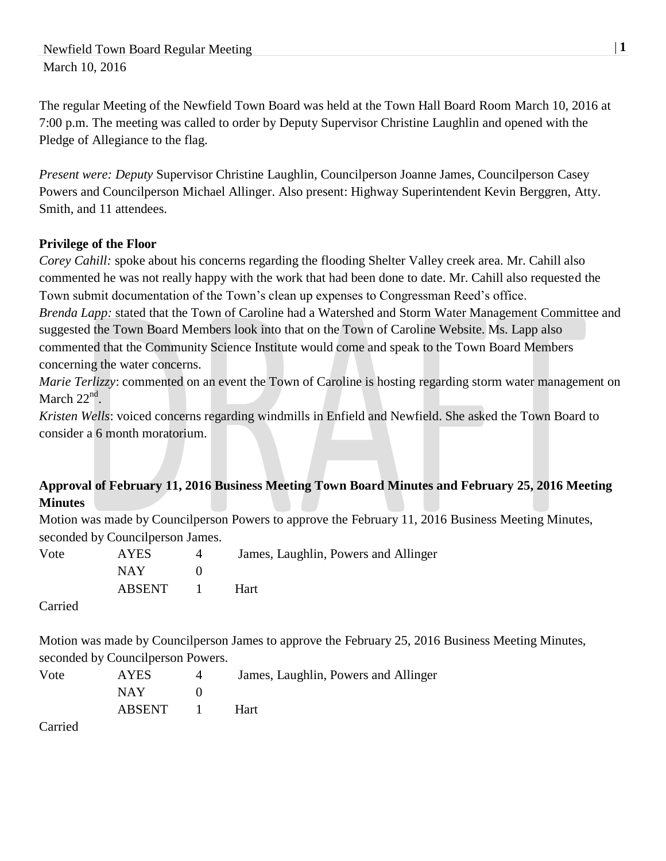Newfield Town Board Regular Meeting  $|1 \rangle$ March 10, 2016

The regular Meeting of the Newfield Town Board was held at the Town Hall Board Room March 10, 2016 at 7:00 p.m. The meeting was called to order by Deputy Supervisor Christine Laughlin and opened with the Pledge of Allegiance to the flag.

*Present were: Deputy* Supervisor Christine Laughlin, Councilperson Joanne James, Councilperson Casey Powers and Councilperson Michael Allinger. Also present: Highway Superintendent Kevin Berggren, Atty. Smith, and 11 attendees.

## **Privilege of the Floor**

*Corey Cahill:* spoke about his concerns regarding the flooding Shelter Valley creek area. Mr. Cahill also commented he was not really happy with the work that had been done to date. Mr. Cahill also requested the Town submit documentation of the Town's clean up expenses to Congressman Reed's office. *Brenda Lapp:* stated that the Town of Caroline had a Watershed and Storm Water Management Committee and suggested the Town Board Members look into that on the Town of Caroline Website. Ms. Lapp also

commented that the Community Science Institute would come and speak to the Town Board Members concerning the water concerns.

*Marie Terlizzy:* commented on an event the Town of Caroline is hosting regarding storm water management on March  $22<sup>nd</sup>$ .

*Kristen Wells*: voiced concerns regarding windmills in Enfield and Newfield. She asked the Town Board to consider a 6 month moratorium.

# **Approval of February 11, 2016 Business Meeting Town Board Minutes and February 25, 2016 Meeting Minutes**

Motion was made by Councilperson Powers to approve the February 11, 2016 Business Meeting Minutes, seconded by Councilperson James.

| Vote | <b>AYES</b> | James, Laughlin, Powers and Allinger |
|------|-------------|--------------------------------------|
|      | NAY.        |                                      |
|      | ABSENT 1    | <b>Hart</b>                          |

Carried

Motion was made by Councilperson James to approve the February 25, 2016 Business Meeting Minutes, seconded by Councilperson Powers.

| Vote | <b>AYES</b> | James, Laughlin, Powers and Allinger |
|------|-------------|--------------------------------------|
|      | NAY -       |                                      |
|      | ABSENT 1    | <b>Hart</b>                          |
|      |             |                                      |

Carried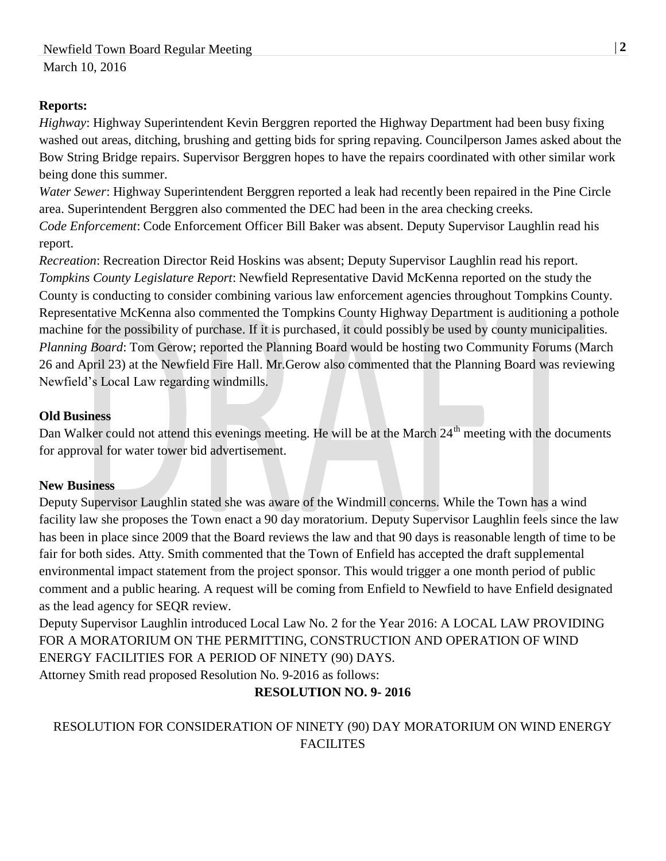### **Reports:**

*Highway*: Highway Superintendent Kevin Berggren reported the Highway Department had been busy fixing washed out areas, ditching, brushing and getting bids for spring repaving. Councilperson James asked about the Bow String Bridge repairs. Supervisor Berggren hopes to have the repairs coordinated with other similar work being done this summer.

*Water Sewer*: Highway Superintendent Berggren reported a leak had recently been repaired in the Pine Circle area. Superintendent Berggren also commented the DEC had been in the area checking creeks. *Code Enforcement*: Code Enforcement Officer Bill Baker was absent. Deputy Supervisor Laughlin read his report.

*Recreation*: Recreation Director Reid Hoskins was absent; Deputy Supervisor Laughlin read his report. *Tompkins County Legislature Report*: Newfield Representative David McKenna reported on the study the County is conducting to consider combining various law enforcement agencies throughout Tompkins County. Representative McKenna also commented the Tompkins County Highway Department is auditioning a pothole machine for the possibility of purchase. If it is purchased, it could possibly be used by county municipalities. *Planning Board*: Tom Gerow; reported the Planning Board would be hosting two Community Forums (March 26 and April 23) at the Newfield Fire Hall. Mr.Gerow also commented that the Planning Board was reviewing Newfield's Local Law regarding windmills.

#### **Old Business**

Dan Walker could not attend this evenings meeting. He will be at the March 24<sup>th</sup> meeting with the documents for approval for water tower bid advertisement.

#### **New Business**

Deputy Supervisor Laughlin stated she was aware of the Windmill concerns. While the Town has a wind facility law she proposes the Town enact a 90 day moratorium. Deputy Supervisor Laughlin feels since the law has been in place since 2009 that the Board reviews the law and that 90 days is reasonable length of time to be fair for both sides. Atty. Smith commented that the Town of Enfield has accepted the draft supplemental environmental impact statement from the project sponsor. This would trigger a one month period of public comment and a public hearing. A request will be coming from Enfield to Newfield to have Enfield designated as the lead agency for SEQR review.

Deputy Supervisor Laughlin introduced Local Law No. 2 for the Year 2016: A LOCAL LAW PROVIDING FOR A MORATORIUM ON THE PERMITTING, CONSTRUCTION AND OPERATION OF WIND ENERGY FACILITIES FOR A PERIOD OF NINETY (90) DAYS.

Attorney Smith read proposed Resolution No. 9-2016 as follows:

## **RESOLUTION NO. 9- 2016**

# RESOLUTION FOR CONSIDERATION OF NINETY (90) DAY MORATORIUM ON WIND ENERGY FACILITES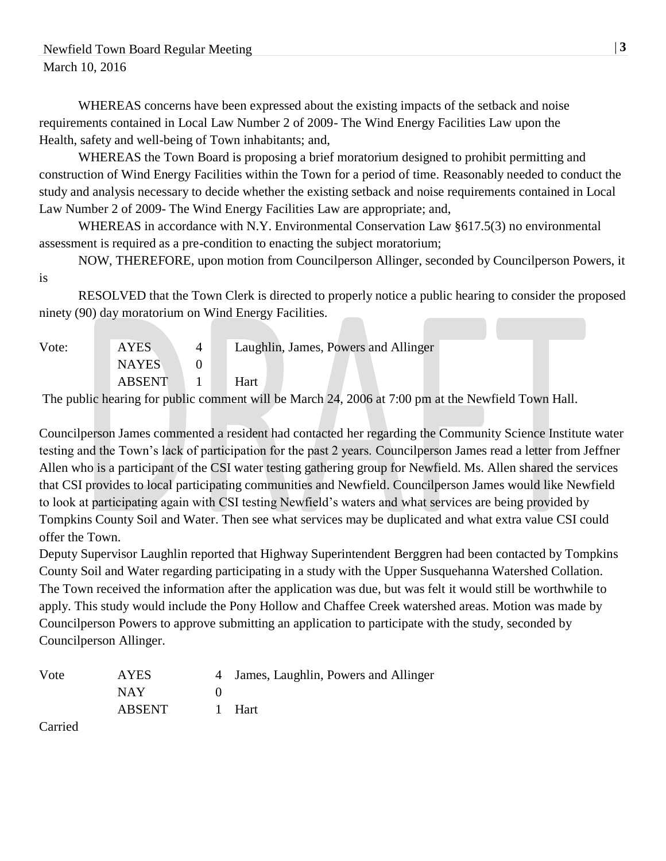WHEREAS concerns have been expressed about the existing impacts of the setback and noise requirements contained in Local Law Number 2 of 2009- The Wind Energy Facilities Law upon the Health, safety and well-being of Town inhabitants; and,

WHEREAS the Town Board is proposing a brief moratorium designed to prohibit permitting and construction of Wind Energy Facilities within the Town for a period of time. Reasonably needed to conduct the study and analysis necessary to decide whether the existing setback and noise requirements contained in Local Law Number 2 of 2009- The Wind Energy Facilities Law are appropriate; and,

WHEREAS in accordance with N.Y. Environmental Conservation Law §617.5(3) no environmental assessment is required as a pre-condition to enacting the subject moratorium;

NOW, THEREFORE, upon motion from Councilperson Allinger, seconded by Councilperson Powers, it

is

RESOLVED that the Town Clerk is directed to properly notice a public hearing to consider the proposed ninety (90) day moratorium on Wind Energy Facilities.

| Vote: | <b>AYES</b>   | Laughlin, James, Powers and Allinger |
|-------|---------------|--------------------------------------|
|       | <b>NAYES</b>  |                                      |
|       | <b>ABSENT</b> | Hart                                 |

The public hearing for public comment will be March 24, 2006 at 7:00 pm at the Newfield Town Hall.

Councilperson James commented a resident had contacted her regarding the Community Science Institute water testing and the Town's lack of participation for the past 2 years. Councilperson James read a letter from Jeffner Allen who is a participant of the CSI water testing gathering group for Newfield. Ms. Allen shared the services that CSI provides to local participating communities and Newfield. Councilperson James would like Newfield to look at participating again with CSI testing Newfield's waters and what services are being provided by Tompkins County Soil and Water. Then see what services may be duplicated and what extra value CSI could offer the Town.

Deputy Supervisor Laughlin reported that Highway Superintendent Berggren had been contacted by Tompkins County Soil and Water regarding participating in a study with the Upper Susquehanna Watershed Collation. The Town received the information after the application was due, but was felt it would still be worthwhile to apply. This study would include the Pony Hollow and Chaffee Creek watershed areas. Motion was made by Councilperson Powers to approve submitting an application to participate with the study, seconded by Councilperson Allinger.

| Vote | <b>AYES</b> | 4 James, Laughlin, Powers and Allinger |
|------|-------------|----------------------------------------|
|      | <b>NAY</b>  |                                        |
|      | ABSENT      | 1 Hart                                 |

Carried